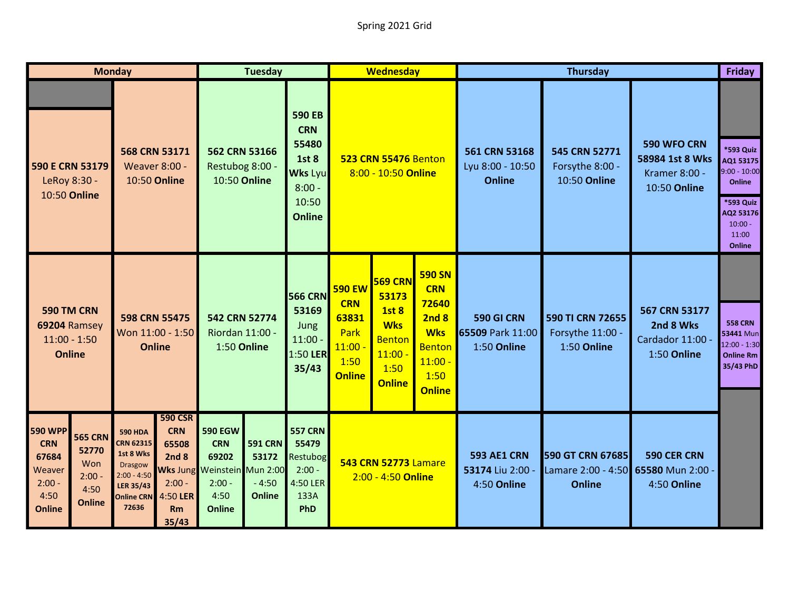| <b>Monday</b>                                                                        |                                                                     |                                                                                                                                      |                                                                                             | <b>Tuesday</b>                                                                                   |                                                                        |                                                                                                              | <b>Wednesday</b>                                                                   |                                                                                                              |                                                                                                                   | <b>Thursday</b>                                                                                        |                                                                 |                                                                                                                     |                                                                                |  |
|--------------------------------------------------------------------------------------|---------------------------------------------------------------------|--------------------------------------------------------------------------------------------------------------------------------------|---------------------------------------------------------------------------------------------|--------------------------------------------------------------------------------------------------|------------------------------------------------------------------------|--------------------------------------------------------------------------------------------------------------|------------------------------------------------------------------------------------|--------------------------------------------------------------------------------------------------------------|-------------------------------------------------------------------------------------------------------------------|--------------------------------------------------------------------------------------------------------|-----------------------------------------------------------------|---------------------------------------------------------------------------------------------------------------------|--------------------------------------------------------------------------------|--|
|                                                                                      | 590 E CRN 53179<br>LeRoy 8:30 -<br>10:50 Online                     | 568 CRN 53171<br><b>Weaver 8:00 -</b><br>10:50 Online                                                                                |                                                                                             | 562 CRN 53166<br>Restubog 8:00 -<br>10:50 Online                                                 |                                                                        | <b>590 EB</b><br><b>CRN</b><br>55480<br><b>1st 8</b><br><b>Wks Lyu</b><br>$8:00 -$<br>10:50<br><b>Online</b> | <b>523 CRN 55476 Benton</b><br>8:00 - 10:50 Online                                 |                                                                                                              | 561 CRN 53168<br>Lyu 8:00 - 10:50<br><b>Online</b>                                                                | 545 CRN 52771<br>Forsythe 8:00 -<br>10:50 Online                                                       | 590 WFO CRN<br>58984 1st 8 Wks<br>Kramer 8:00 -<br>10:50 Online | *593 Quiz<br>AQ1 53175<br>$9:00 - 10:00$<br>Online<br>*593 Quiz<br>AQ2 53176<br>$10:00 -$<br>11:00<br><b>Online</b> |                                                                                |  |
| 590 TM CRN<br>69204 Ramsey<br>$11:00 - 1:50$<br><b>Online</b>                        |                                                                     | 598 CRN 55475<br>Won 11:00 - 1:50<br><b>Online</b>                                                                                   |                                                                                             | 542 CRN 52774<br>Riordan 11:00 -<br>1:50 Online                                                  |                                                                        | <b>566 CRN</b><br>53169<br>Jung<br>$11:00 -$<br>1:50 LER<br>35/43                                            | <b>590 EW</b><br><b>CRN</b><br>63831<br>Park<br>$11:00 -$<br>1:50<br><b>Online</b> | <b>569 CRN</b><br>53173<br><b>1st 8</b><br><b>Wks</b><br><b>Benton</b><br>$11:00 -$<br>1:50<br><b>Online</b> | <b>590 SN</b><br><b>CRN</b><br>72640<br>2nd8<br><b>Wks</b><br><b>Benton</b><br>$11:00 -$<br>1:50<br><b>Online</b> | 590 GI CRN<br>65509 Park 11:00<br>1:50 Online                                                          | 590 TI CRN 72655<br>Forsythe 11:00 -<br>1:50 Online             | 567 CRN 53177<br>2nd 8 Wks<br>Cardador 11:00 -<br>1:50 Online                                                       | <b>558 CRN</b><br>53441 Mun<br>$12:00 - 1:30$<br><b>Online Rm</b><br>35/43 PhD |  |
| <b>590 WPP</b><br><b>CRN</b><br>67684<br>Weaver<br>$2:00 -$<br>4:50<br><b>Online</b> | <b>565 CRN</b><br>52770<br>Won<br>$2:00 -$<br>4:50<br><b>Online</b> | <b>590 HDA</b><br><b>CRN 62315</b><br>1st 8 Wks<br><b>Drasgow</b><br>$2:00 - 4:50$<br><b>LER 35/43</b><br><b>Online CRN</b><br>72636 | <b>590 CSR</b><br><b>CRN</b><br>65508<br>2nd8<br>$2:00 -$<br>4:50 LER<br><b>Rm</b><br>35/43 | <b>590 EGW</b><br><b>CRN</b><br>69202<br>Wks Jung Weinstein<br>$2:00 -$<br>4:50<br><b>Online</b> | <b>591 CRN</b><br>53172<br><b>Mun 2:00</b><br>$-4:50$<br><b>Online</b> | <b>557 CRN</b><br>55479<br>Restubog<br>$2:00 -$<br>4:50 LER<br>133A<br>PhD                                   | <b>543 CRN 52773 Lamare</b><br>2:00 - 4:50 Online                                  |                                                                                                              | <b>593 AE1 CRN</b><br>53174 Liu 2:00<br>4:50 Online                                                               | 590 GT CRN 67685<br>590 CER CRN<br>Lamare 2:00 - 4:50 65580 Mun 2:00 -<br><b>Online</b><br>4:50 Online |                                                                 |                                                                                                                     |                                                                                |  |